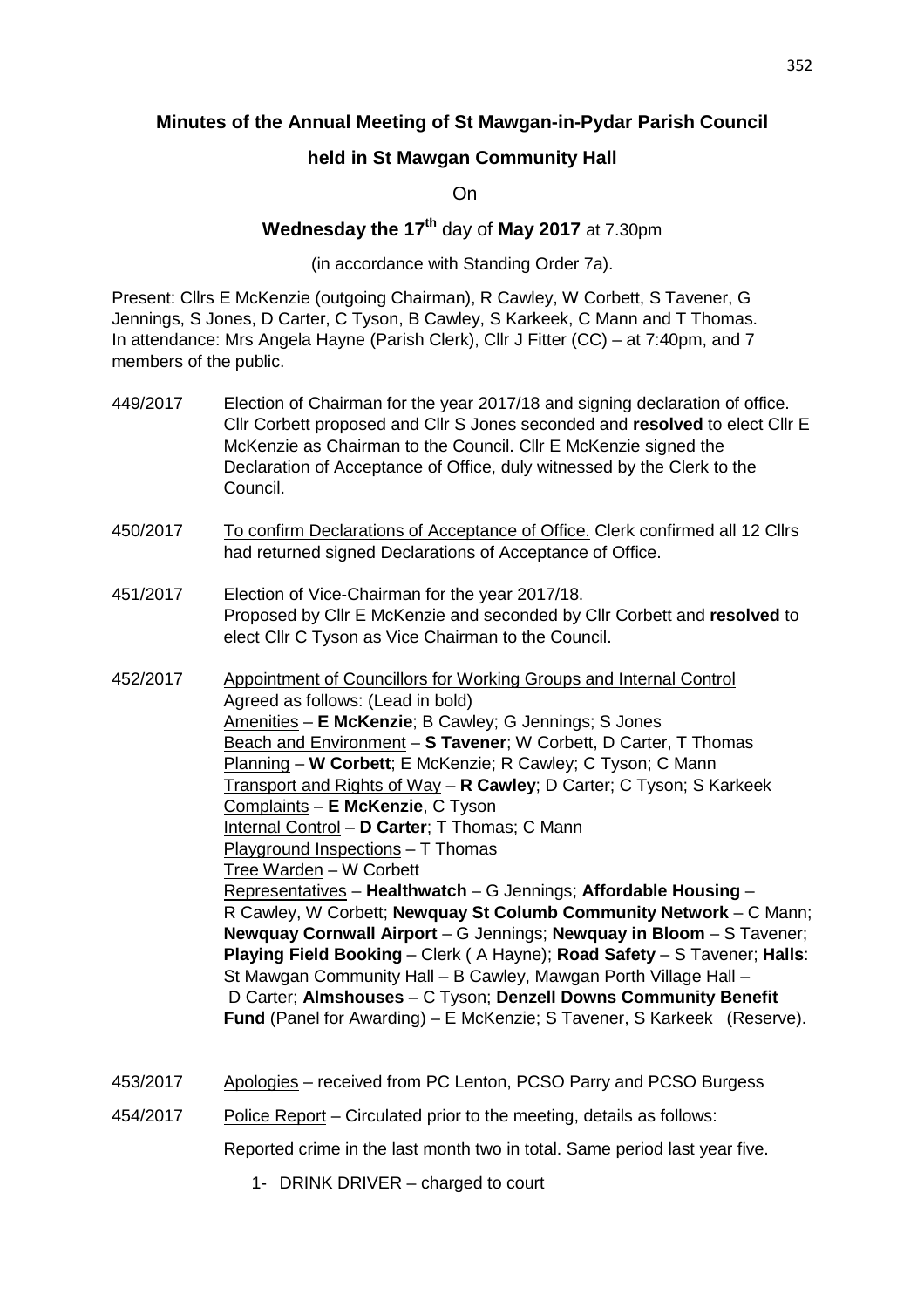## **Minutes of the Annual Meeting of St Mawgan-in-Pydar Parish Council**

## **held in St Mawgan Community Hall**

On

# **Wednesday the 17th** day of **May 2017** at 7.30pm

(in accordance with Standing Order 7a).

Present: Cllrs E McKenzie (outgoing Chairman), R Cawley, W Corbett, S Tavener, G Jennings, S Jones, D Carter, C Tyson, B Cawley, S Karkeek, C Mann and T Thomas. In attendance: Mrs Angela Hayne (Parish Clerk), Cllr J Fitter (CC) – at 7:40pm, and 7 members of the public.

- 449/2017 Election of Chairman for the year 2017/18 and signing declaration of office. Cllr Corbett proposed and Cllr S Jones seconded and **resolved** to elect Cllr E McKenzie as Chairman to the Council. Cllr E McKenzie signed the Declaration of Acceptance of Office, duly witnessed by the Clerk to the Council.
- 450/2017 To confirm Declarations of Acceptance of Office. Clerk confirmed all 12 Cllrs had returned signed Declarations of Acceptance of Office.
- 451/2017 Election of Vice-Chairman for the year 2017/18. Proposed by Cllr E McKenzie and seconded by Cllr Corbett and **resolved** to elect Cllr C Tyson as Vice Chairman to the Council.

452/2017 Appointment of Councillors for Working Groups and Internal Control Agreed as follows: (Lead in bold) Amenities – **E McKenzie**; B Cawley; G Jennings; S Jones Beach and Environment – **S Tavener**; W Corbett, D Carter, T Thomas Planning – **W Corbett**; E McKenzie; R Cawley; C Tyson; C Mann Transport and Rights of Way – **R Cawley**; D Carter; C Tyson; S Karkeek Complaints – **E McKenzie**, C Tyson Internal Control – **D Carter**; T Thomas; C Mann Playground Inspections – T Thomas Tree Warden – W Corbett Representatives – **Healthwatch** – G Jennings; **Affordable Housing** – R Cawley, W Corbett; **Newquay St Columb Community Network** – C Mann; **Newquay Cornwall Airport** – G Jennings; **Newquay in Bloom** – S Tavener; **Playing Field Booking** – Clerk ( A Hayne); **Road Safety** – S Tavener; **Halls**: St Mawgan Community Hall – B Cawley, Mawgan Porth Village Hall – D Carter; **Almshouses** – C Tyson; **Denzell Downs Community Benefit Fund** (Panel for Awarding) – E McKenzie; S Tavener, S Karkeek (Reserve).

- 453/2017 Apologies received from PC Lenton, PCSO Parry and PCSO Burgess
- 454/2017 Police Report Circulated prior to the meeting, details as follows:

Reported crime in the last month two in total. Same period last year five.

1- DRINK DRIVER – charged to court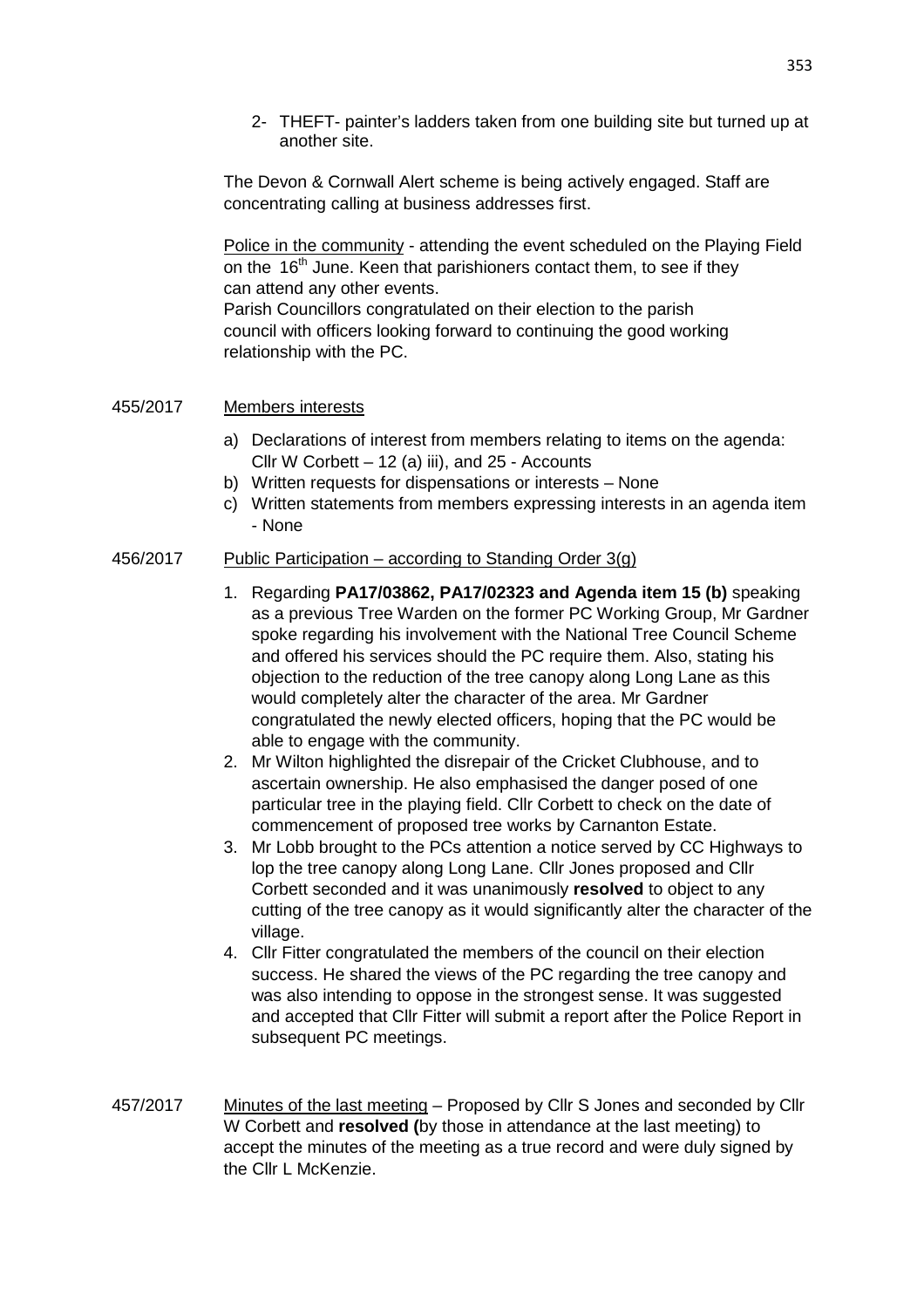2- THEFT- painter's ladders taken from one building site but turned up at another site.

 The Devon & Cornwall Alert scheme is being actively engaged. Staff are concentrating calling at business addresses first.

Police in the community - attending the event scheduled on the Playing Field on the  $16<sup>th</sup>$  June. Keen that parishioners contact them, to see if they can attend any other events.

 Parish Councillors congratulated on their election to the parish council with officers looking forward to continuing the good working relationship with the PC.

#### 455/2017 Members interests

- a) Declarations of interest from members relating to items on the agenda: Cllr W Corbett – 12 (a) iii), and 25 - Accounts
- b) Written requests for dispensations or interests None
- c) Written statements from members expressing interests in an agenda item - None

### 456/2017 Public Participation – according to Standing Order  $3(q)$

- 1. Regarding **PA17/03862, PA17/02323 and Agenda item 15 (b)** speaking as a previous Tree Warden on the former PC Working Group, Mr Gardner spoke regarding his involvement with the National Tree Council Scheme and offered his services should the PC require them. Also, stating his objection to the reduction of the tree canopy along Long Lane as this would completely alter the character of the area. Mr Gardner congratulated the newly elected officers, hoping that the PC would be able to engage with the community.
- 2. Mr Wilton highlighted the disrepair of the Cricket Clubhouse, and to ascertain ownership. He also emphasised the danger posed of one particular tree in the playing field. Cllr Corbett to check on the date of commencement of proposed tree works by Carnanton Estate.
- 3. Mr Lobb brought to the PCs attention a notice served by CC Highways to lop the tree canopy along Long Lane. Cllr Jones proposed and Cllr Corbett seconded and it was unanimously **resolved** to object to any cutting of the tree canopy as it would significantly alter the character of the village.
- 4. Cllr Fitter congratulated the members of the council on their election success. He shared the views of the PC regarding the tree canopy and was also intending to oppose in the strongest sense. It was suggested and accepted that Cllr Fitter will submit a report after the Police Report in subsequent PC meetings.
- 457/2017 Minutes of the last meeting Proposed by Cllr S Jones and seconded by Cllr W Corbett and **resolved (**by those in attendance at the last meeting) to accept the minutes of the meeting as a true record and were duly signed by the Cllr L McKenzie.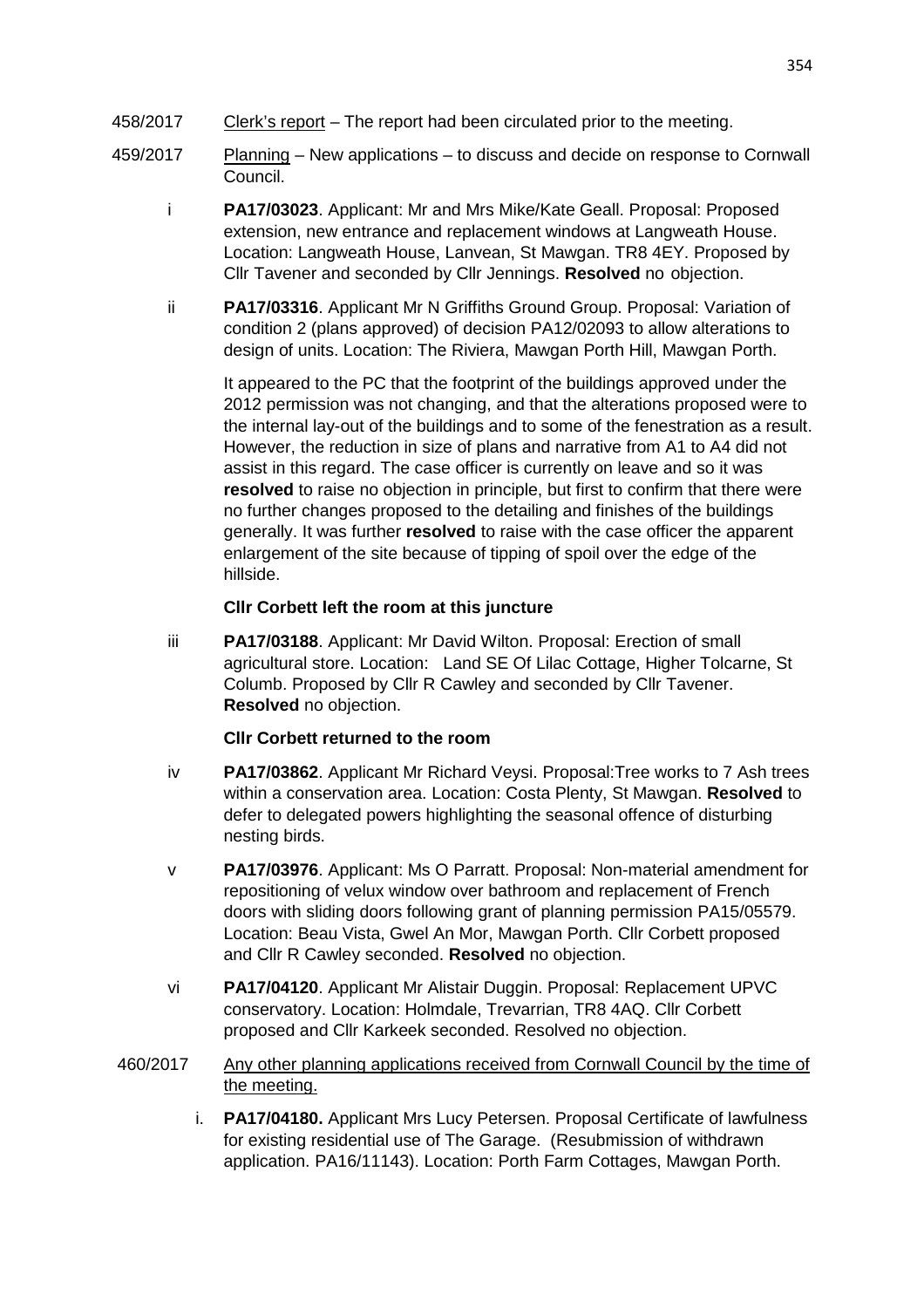- 458/2017 Clerk's report The report had been circulated prior to the meeting.
- 459/2017 Planning New applications to discuss and decide on response to Cornwall Council.
	- i **PA17/03023**. Applicant: Mr and Mrs Mike/Kate Geall. Proposal: Proposed extension, new entrance and replacement windows at Langweath House. Location: Langweath House, Lanvean, St Mawgan. TR8 4EY. Proposed by Cllr Tavener and seconded by Cllr Jennings. **Resolved** no objection.
	- ii **PA17/03316**. Applicant Mr N Griffiths Ground Group. Proposal: Variation of condition 2 (plans approved) of decision PA12/02093 to allow alterations to design of units. Location: The Riviera, Mawgan Porth Hill, Mawgan Porth.

It appeared to the PC that the footprint of the buildings approved under the 2012 permission was not changing, and that the alterations proposed were to the internal lay-out of the buildings and to some of the fenestration as a result. However, the reduction in size of plans and narrative from A1 to A4 did not assist in this regard. The case officer is currently on leave and so it was **resolved** to raise no objection in principle, but first to confirm that there were no further changes proposed to the detailing and finishes of the buildings generally. It was further **resolved** to raise with the case officer the apparent enlargement of the site because of tipping of spoil over the edge of the hillside.

### **Cllr Corbett left the room at this juncture**

iii **PA17/03188**. Applicant: Mr David Wilton. Proposal: Erection of small agricultural store. Location: Land SE Of Lilac Cottage, Higher Tolcarne, St Columb. Proposed by Cllr R Cawley and seconded by Cllr Tavener. **Resolved** no objection.

#### **Cllr Corbett returned to the room**

- iv **PA17/03862**. Applicant Mr Richard Veysi. Proposal:Tree works to 7 Ash trees within a conservation area. Location: Costa Plenty, St Mawgan. **Resolved** to defer to delegated powers highlighting the seasonal offence of disturbing nesting birds.
- v **PA17/03976**. Applicant: Ms O Parratt. Proposal: Non-material amendment for repositioning of velux window over bathroom and replacement of French doors with sliding doors following grant of planning permission PA15/05579. Location: Beau Vista, Gwel An Mor, Mawgan Porth. Cllr Corbett proposed and Cllr R Cawley seconded. **Resolved** no objection.
- vi **PA17/04120**. Applicant Mr Alistair Duggin. Proposal: Replacement UPVC conservatory. Location: Holmdale, Trevarrian, TR8 4AQ. Cllr Corbett proposed and Cllr Karkeek seconded. Resolved no objection.
- 460/2017 Any other planning applications received from Cornwall Council by the time of the meeting.
	- i. **PA17/04180.** Applicant Mrs Lucy Petersen. Proposal Certificate of lawfulness for existing residential use of The Garage. (Resubmission of withdrawn application. PA16/11143). Location: Porth Farm Cottages, Mawgan Porth.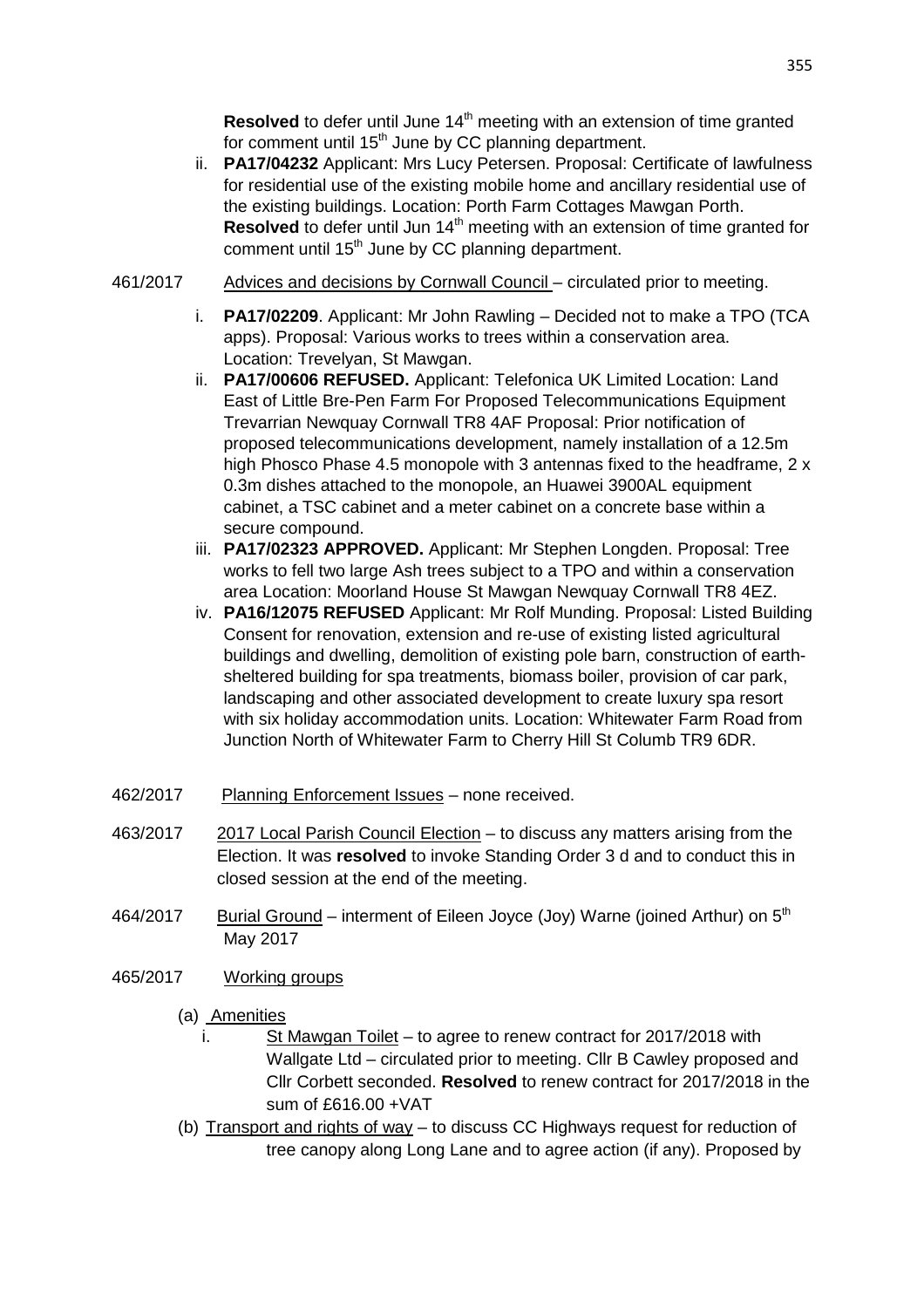**Resolved** to defer until June 14<sup>th</sup> meeting with an extension of time granted for comment until  $15<sup>th</sup>$  June by CC planning department.

- ii. **PA17/04232** Applicant: Mrs Lucy Petersen. Proposal: Certificate of lawfulness for residential use of the existing mobile home and ancillary residential use of the existing buildings. Location: Porth Farm Cottages Mawgan Porth. **Resolved** to defer until Jun 14<sup>th</sup> meeting with an extension of time granted for comment until 15<sup>th</sup> June by CC planning department.
- 461/2017 Advices and decisions by Cornwall Council circulated prior to meeting.
	- i. **PA17/02209**. Applicant: Mr John Rawling Decided not to make a TPO (TCA apps). Proposal: Various works to trees within a conservation area. Location: Trevelyan, St Mawgan.
	- ii. **PA17/00606 REFUSED.** Applicant: Telefonica UK Limited Location: Land East of Little Bre-Pen Farm For Proposed Telecommunications Equipment Trevarrian Newquay Cornwall TR8 4AF Proposal: Prior notification of proposed telecommunications development, namely installation of a 12.5m high Phosco Phase 4.5 monopole with 3 antennas fixed to the headframe, 2 x 0.3m dishes attached to the monopole, an Huawei 3900AL equipment cabinet, a TSC cabinet and a meter cabinet on a concrete base within a secure compound.
	- iii. **PA17/02323 APPROVED.** Applicant: Mr Stephen Longden. Proposal: Tree works to fell two large Ash trees subject to a TPO and within a conservation area Location: Moorland House St Mawgan Newquay Cornwall TR8 4EZ.
	- iv. **PA16/12075 REFUSED** Applicant: Mr Rolf Munding. Proposal: Listed Building Consent for renovation, extension and re-use of existing listed agricultural buildings and dwelling, demolition of existing pole barn, construction of earthsheltered building for spa treatments, biomass boiler, provision of car park, landscaping and other associated development to create luxury spa resort with six holiday accommodation units. Location: Whitewater Farm Road from Junction North of Whitewater Farm to Cherry Hill St Columb TR9 6DR.
- 462/2017 Planning Enforcement Issues none received.
- 463/2017 2017 Local Parish Council Election to discuss any matters arising from the Election. It was **resolved** to invoke Standing Order 3 d and to conduct this in closed session at the end of the meeting.
- 464/2017 Burial Ground interment of Eileen Joyce (Joy) Warne (ioined Arthur) on 5<sup>th</sup> May 2017
- 465/2017 Working groups
	- (a) Amenities
		- i. St Mawgan Toilet to agree to renew contract for 2017/2018 with Wallgate Ltd – circulated prior to meeting. Cllr B Cawley proposed and Cllr Corbett seconded. **Resolved** to renew contract for 2017/2018 in the sum of £616.00 +VAT
	- (b) Transport and rights of way to discuss CC Highways request for reduction of tree canopy along Long Lane and to agree action (if any). Proposed by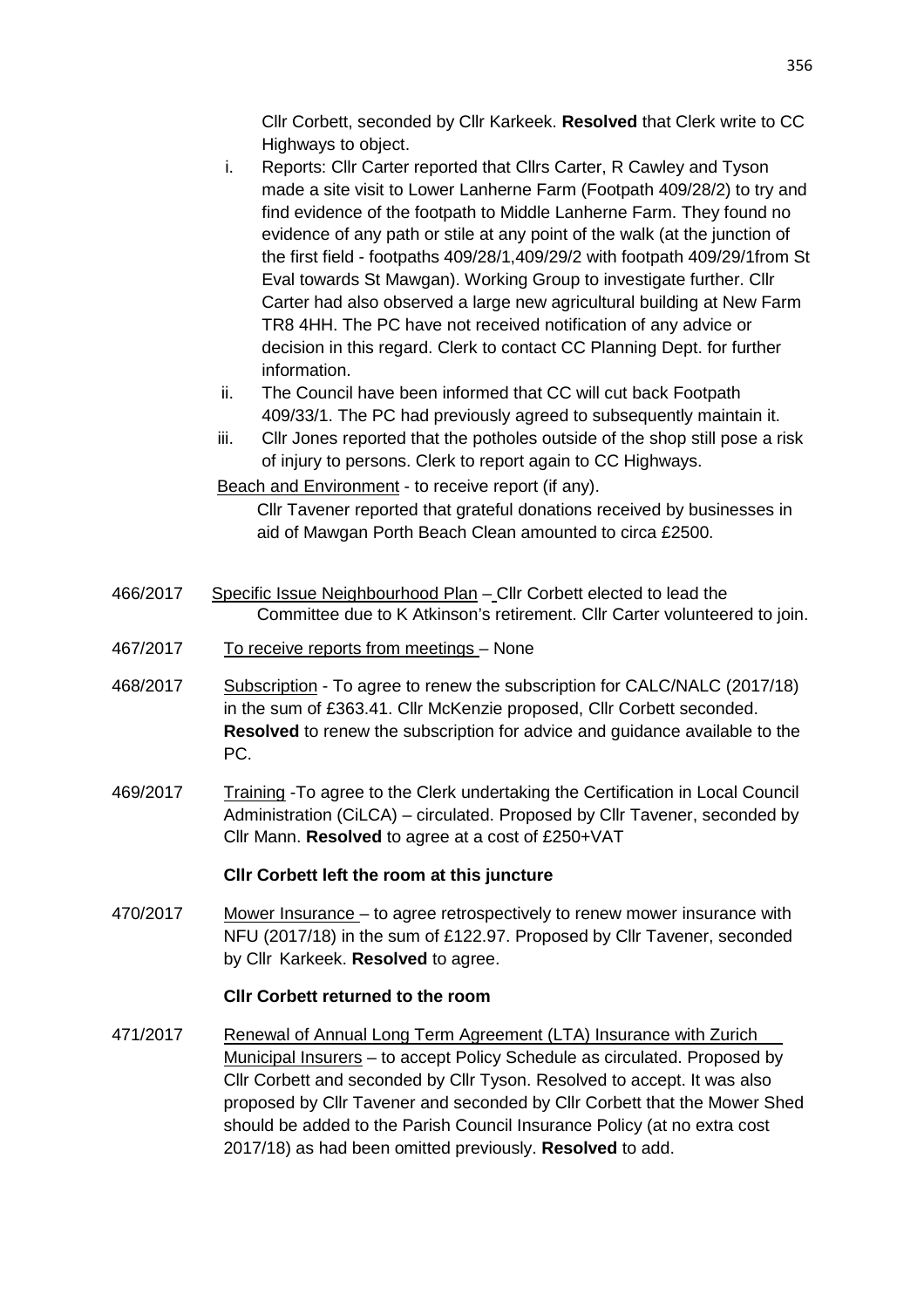Cllr Corbett, seconded by Cllr Karkeek. **Resolved** that Clerk write to CC Highways to object.

- i. Reports: Cllr Carter reported that Cllrs Carter, R Cawley and Tyson made a site visit to Lower Lanherne Farm (Footpath 409/28/2) to try and find evidence of the footpath to Middle Lanherne Farm. They found no evidence of any path or stile at any point of the walk (at the junction of the first field - footpaths 409/28/1,409/29/2 with footpath 409/29/1from St Eval towards St Mawgan). Working Group to investigate further. Cllr Carter had also observed a large new agricultural building at New Farm TR8 4HH. The PC have not received notification of any advice or decision in this regard. Clerk to contact CC Planning Dept. for further information.
- ii. The Council have been informed that CC will cut back Footpath 409/33/1. The PC had previously agreed to subsequently maintain it.
- iii. Cllr Jones reported that the potholes outside of the shop still pose a risk of injury to persons. Clerk to report again to CC Highways.

Beach and Environment - to receive report (if any).

 Cllr Tavener reported that grateful donations received by businesses in aid of Mawgan Porth Beach Clean amounted to circa £2500.

- 466/2017 Specific Issue Neighbourhood Plan Cllr Corbett elected to lead the Committee due to K Atkinson's retirement. Cllr Carter volunteered to join.
- 467/2017 To receive reports from meetings None
- 468/2017 Subscription To agree to renew the subscription for CALC/NALC (2017/18) in the sum of £363.41. Cllr McKenzie proposed, Cllr Corbett seconded. **Resolved** to renew the subscription for advice and guidance available to the PC.
- 469/2017 Training -To agree to the Clerk undertaking the Certification in Local Council Administration (CiLCA) – circulated. Proposed by Cllr Tavener, seconded by Cllr Mann. **Resolved** to agree at a cost of £250+VAT

### **Cllr Corbett left the room at this juncture**

470/2017 Mower Insurance – to agree retrospectively to renew mower insurance with NFU (2017/18) in the sum of £122.97. Proposed by Cllr Tavener, seconded by Cllr Karkeek. **Resolved** to agree.

#### **Cllr Corbett returned to the room**

471/2017 Renewal of Annual Long Term Agreement (LTA) Insurance with Zurich Municipal Insurers – to accept Policy Schedule as circulated. Proposed by Cllr Corbett and seconded by Cllr Tyson. Resolved to accept. It was also proposed by Cllr Tavener and seconded by Cllr Corbett that the Mower Shed should be added to the Parish Council Insurance Policy (at no extra cost 2017/18) as had been omitted previously. **Resolved** to add.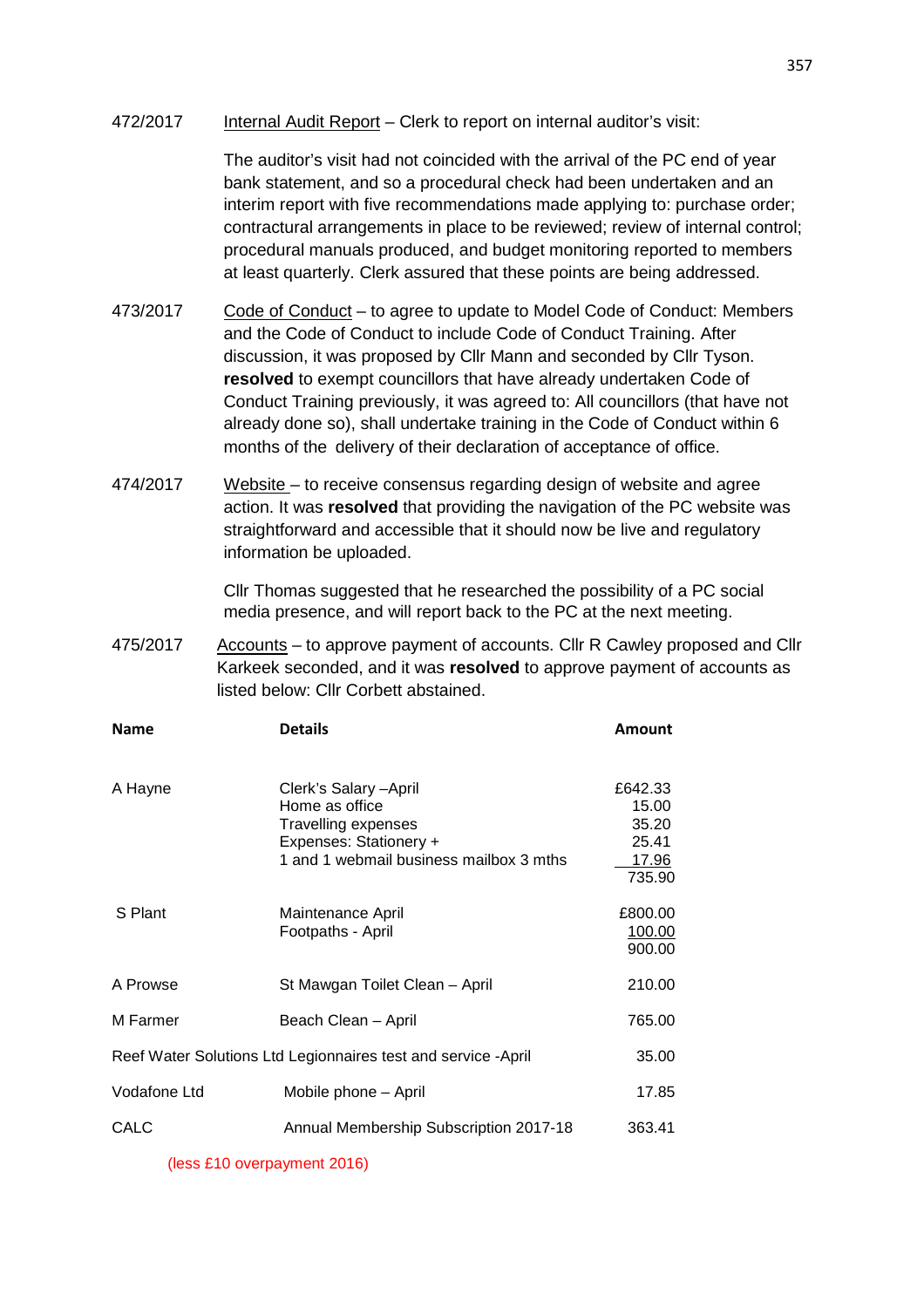#### 472/2017 Internal Audit Report – Clerk to report on internal auditor's visit:

 The auditor's visit had not coincided with the arrival of the PC end of year bank statement, and so a procedural check had been undertaken and an interim report with five recommendations made applying to: purchase order; contractural arrangements in place to be reviewed; review of internal control; procedural manuals produced, and budget monitoring reported to members at least quarterly. Clerk assured that these points are being addressed.

- 473/2017 Code of Conduct to agree to update to Model Code of Conduct: Members and the Code of Conduct to include Code of Conduct Training. After discussion, it was proposed by Cllr Mann and seconded by Cllr Tyson. **resolved** to exempt councillors that have already undertaken Code of Conduct Training previously, it was agreed to: All councillors (that have not already done so), shall undertake training in the Code of Conduct within 6 months of the delivery of their declaration of acceptance of office.
- 474/2017 Website to receive consensus regarding design of website and agree action. It was **resolved** that providing the navigation of the PC website was straightforward and accessible that it should now be live and regulatory information be uploaded.

 Cllr Thomas suggested that he researched the possibility of a PC social media presence, and will report back to the PC at the next meeting.

475/2017 Accounts – to approve payment of accounts. Cllr R Cawley proposed and Cllr Karkeek seconded, and it was **resolved** to approve payment of accounts as listed below: Cllr Corbett abstained.

| <b>Name</b>                                                   | <b>Details</b>                                                                                                                       | <b>Amount</b>                                         |
|---------------------------------------------------------------|--------------------------------------------------------------------------------------------------------------------------------------|-------------------------------------------------------|
| A Hayne                                                       | Clerk's Salary - April<br>Home as office<br>Travelling expenses<br>Expenses: Stationery +<br>1 and 1 webmail business mailbox 3 mths | £642.33<br>15.00<br>35.20<br>25.41<br>17.96<br>735.90 |
| S Plant                                                       | Maintenance April<br>Footpaths - April                                                                                               | £800.00<br>100.00<br>900.00                           |
| A Prowse                                                      | St Mawgan Toilet Clean - April                                                                                                       | 210.00                                                |
| M Farmer                                                      | Beach Clean - April                                                                                                                  | 765.00                                                |
| Reef Water Solutions Ltd Legionnaires test and service -April | 35.00                                                                                                                                |                                                       |
| Vodafone Ltd                                                  | Mobile phone - April                                                                                                                 | 17.85                                                 |
| CALC                                                          | Annual Membership Subscription 2017-18                                                                                               | 363.41                                                |

(less £10 overpayment 2016)